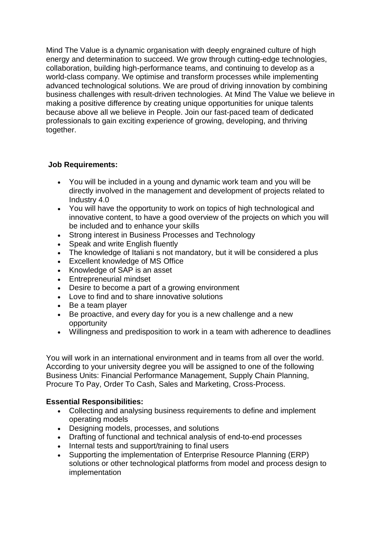Mind The Value is a dynamic organisation with deeply engrained culture of high energy and determination to succeed. We grow through cutting-edge technologies, collaboration, building high-performance teams, and continuing to develop as a world-class company. We optimise and transform processes while implementing advanced technological solutions. We are proud of driving innovation by combining business challenges with result-driven technologies. At Mind The Value we believe in making a positive difference by creating unique opportunities for unique talents because above all we believe in People. Join our fast-paced team of dedicated professionals to gain exciting experience of growing, developing, and thriving together.

## **Job Requirements:**

- You will be included in a young and dynamic work team and you will be directly involved in the management and development of projects related to Industry 4.0
- You will have the opportunity to work on topics of high technological and innovative content, to have a good overview of the projects on which you will be included and to enhance your skills
- Strong interest in Business Processes and Technology
- Speak and write English fluently
- The knowledge of Italiani s not mandatory, but it will be considered a plus
- Excellent knowledge of MS Office
- Knowledge of SAP is an asset
- Entrepreneurial mindset
- Desire to become a part of a growing environment
- Love to find and to share innovative solutions
- Be a team player
- Be proactive, and every day for you is a new challenge and a new opportunity
- Willingness and predisposition to work in a team with adherence to deadlines

You will work in an international environment and in teams from all over the world. According to your university degree you will be assigned to one of the following Business Units: Financial Performance Management, Supply Chain Planning, Procure To Pay, Order To Cash, Sales and Marketing, Cross-Process.

## **Essential Responsibilities:**

- Collecting and analysing business requirements to define and implement operating models
- Designing models, processes, and solutions
- Drafting of functional and technical analysis of end-to-end processes
- Internal tests and support/training to final users
- Supporting the implementation of Enterprise Resource Planning (ERP) solutions or other technological platforms from model and process design to implementation